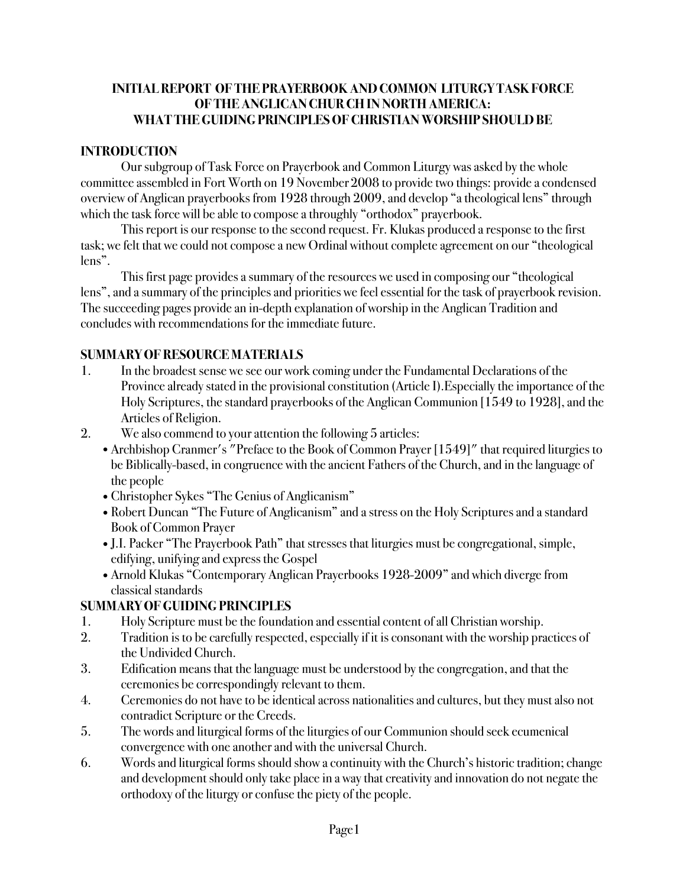### **INITIAL REPORT OF THE PRAYERBOOK AND COMMON LITURGY TASK FORCE OF THE ANGLICAN CHUR CH IN NORTH AMERICA: WHAT THE GUIDING PRINCIPLES OF CHRISTIAN WORSHIP SHOULD BE**

### **INTRODUCTION**

Our subgroup of Task Force on Prayerbook and Common Liturgy was asked by the whole committee assembled in Fort Worth on 19 November2008 to provide two things: provide a condensed overview of Anglican prayerbooks from 1928 through 2009, and develop "a theological lens" through which the task force will be able to compose a throughly "orthodox" prayerbook.

This report is our response to the second request. Fr. Klukas produced a response to the first task; we felt that we could not compose a new Ordinal without complete agreement on our "theological lens".

This first page provides a summary of the resources we used in composing our "theological lens", and a summary of the principles and priorities we feel essential for the task of prayerbook revision. The succeeding pages provide an in-depth explanation of worship in the Anglican Tradition and concludes with recommendations for the immediate future.

## **SUMMARY OF RESOURCE MATERIALS**

- 1. In the broadest sense we see our work coming under the Fundamental Declarations of the Province already stated in the provisional constitution (Article I).Especially the importance of the Holy Scriptures, the standard prayerbooks of the Anglican Communion [1549 to 1928], and the Articles of Religion.
- 2. We also commend to your attention the following 5 articles:
	- •Archbishop Cranmer's "Preface to the Book of Common Prayer [1549]" that required liturgies to be Biblically-based, in congruence with the ancient Fathers of the Church, and in the language of the people
	- •Christopher Sykes "The Genius of Anglicanism"
	- Robert Duncan "The Future of Anglicanism" and a stress on the Holy Scriptures and a standard Book of Common Prayer
	- •J.I. Packer "The Prayerbook Path" that stresses that liturgies must be congregational, simple, edifying, unifying and express the Gospel
	- •Arnold Klukas "Contemporary Anglican Prayerbooks 1928-2009" and which diverge from classical standards

### **SUMMARY OF GUIDING PRINCIPLES**

- 1. Holy Scripture must be the foundation and essential content of all Christian worship.
- 2. Tradition is to be carefully respected, especially if it is consonant with the worship practices of the Undivided Church.
- 3. Edification means that the language must be understood by the congregation, and that the ceremonies be correspondingly relevant to them.
- 4. Ceremonies do not have to be identical across nationalities and cultures, but they must also not contradict Scripture or the Creeds.
- 5. The words and liturgical forms of the liturgies of our Communion should seek ecumenical convergence with one another and with the universal Church.
- 6. Words and liturgical forms should show a continuity with the Church's historic tradition; change and development should only take place in a way that creativity and innovation do not negate the orthodoxy of the liturgy or confuse the piety of the people.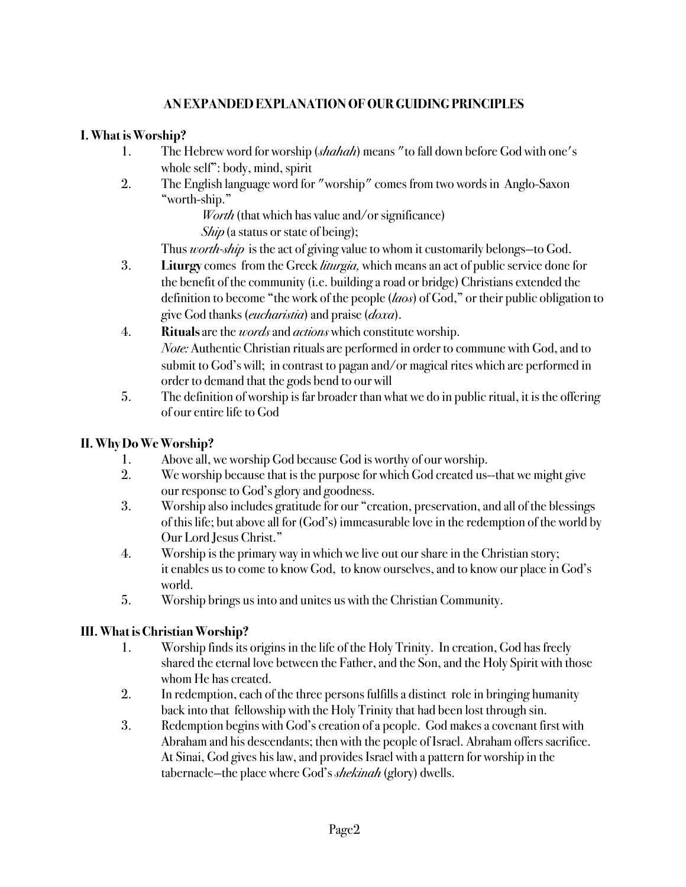## **AN EXPANDED EXPLANATION OF OUR GUIDING PRINCIPLES**

### **I. What is Worship?**

- 1. The Hebrew word for worship (*shahah*) means "to fall down before God with one's whole self": body, mind, spirit
- 2. The English language word for "worship" comes from two words in Anglo-Saxon "worth-ship."

*Worth* (that which has value and/or significance)

*Ship* (a status or state of being);

Thus *worth-ship* is the act of giving value to whom it customarily belongs—to God.

- 3. **Liturgy** comes from the Greek *liturgia,* which meansan act of public service done for the benefit of the community (i.e. building a road or bridge) Christians extended the ! ! definition to become "the work of the people (*laos*) of God," or their public obligation to ! ! give God thanks (*eucharistia*) and praise (*doxa*).
- 4. **Rituals** are the *words* and *actions* which constitute worship. *Note:* Authentic Christian rituals are performed in order to commune with God, and to submit to God's will; in contrast to pagan and/or magical rites which are performed in order to demand that the gods bend to our will
- 5. The definition of worship is far broader than what we do in public ritual, it is the offering of our entire life to God

### **II. Why Do We Worship?**

- 1. Above all, we worship God because God is worthy of our worship.
- 2. We worship because that is the purpose for which God created us--that we might give our response to God's glory and goodness.
- 3. Worship also includes gratitude for our "creation, preservation, and all of the blessings of this life; but above all for (God's) immeasurable love in the redemption of the world by Our Lord Jesus Christ."
- 4. Worship is the primary way in which we live out our share in the Christian story; it enables us to come to know God, to know ourselves, and to know our place in God's world.
- 5. Worship brings us into and unites us with the Christian Community.

### **III. What is Christian Worship?**

- 1. Worship finds its origins in the life of the Holy Trinity. In creation, God has freely shared the eternal love between the Father, and the Son, and the Holy Spirit with those whom He has created.
- 2. In redemption, each of the three persons fulfills a distinct role in bringing humanity back into that fellowship with the Holy Trinity that had been lost through sin.
- 3. Redemption begins with God's creation of a people. God makes a covenant first with ! ! Abraham and his descendants; then with the people of Israel. Abraham offers sacrifice. At Sinai, God gives his law, and provides Israel with a pattern for worship in the ! ! tabernacle—the place where God's *shekinah* (glory) dwells.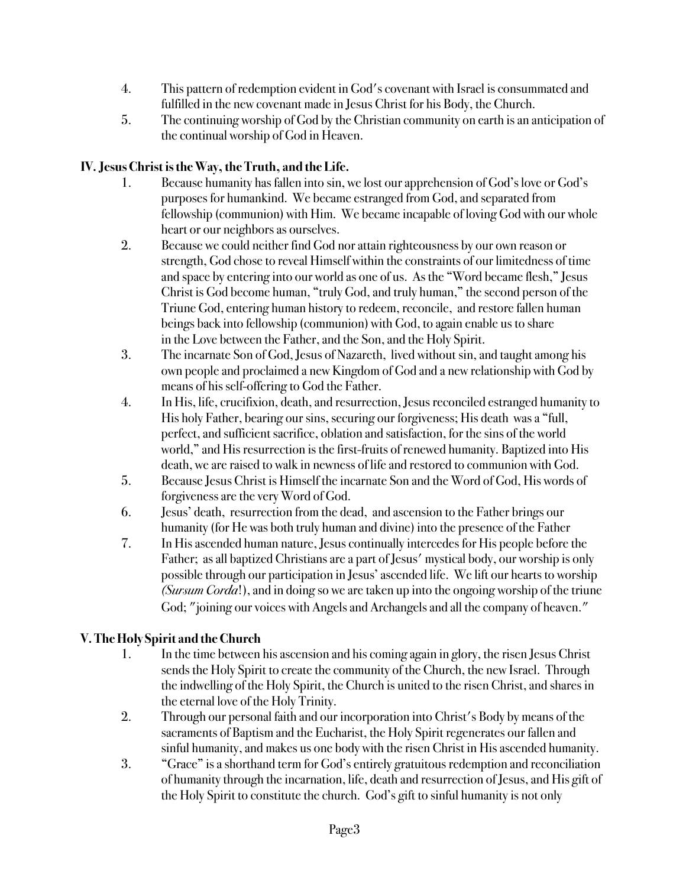- 4. This pattern of redemption evident in God's covenant with Israel is consummated and fulfilled in the new covenant made in Jesus Christ for his Body, the Church.
- 5. The continuing worship of God by the Christian community on earth is an anticipation of the continual worship of God in Heaven.

## **IV. Jesus Christ is the Way, the Truth, and the Life.**

- 1. Because humanity has fallen into sin, we lost our apprehension of God's love or God's ! ! purposes for humankind. We became estranged from God, and separated from fellowship (communion) with Him. We became incapable of loving God with our whole heart or our neighbors as ourselves.
- 2. Because we could neither find God nor attain righteousness by our own reason or strength, God chose to reveal Himself within the constraints of our limitedness of time and space by entering into our world as one of us. As the "Word became flesh," Jesus Christ is God become human, "truly God, and truly human," the second person of the Triune God, entering human history to redeem, reconcile, and restore fallen human beings back into fellowship (communion) with God, to again enable us to share in the Love between the Father, and the Son, and the Holy Spirit.
- 3. The incarnate Son of God, Jesus of Nazareth, lived without sin, and taught among his own people and proclaimed a new Kingdom of God and a new relationship with God by means of his self-offering to God the Father.
- 4. In His, life, crucifixion, death, and resurrection, Jesus reconciled estranged humanity to His holy Father, bearing our sins, securing our forgiveness; His death was a "full, ! ! perfect, and sufficient sacrifice, oblation and satisfaction, for the sins of the world world," and His resurrection is the first-fruits of renewed humanity. Baptized into His ! ! death, we are raised to walk in newness of life and restored to communion with God.
- 5. Because Jesus Christ is Himself the incarnate Son and the Word of God, His words of forgiveness are the very Word of God.
- 6. Jesus' death, resurrection from the dead, and ascension to the Father brings our humanity (for He was both truly human and divine) into the presence of the Father
- 7. In His ascended human nature, Jesus continually intercedes for His people before the ! ! Father; as all baptized Christians are a part of Jesus' mystical body, our worship is only possible through our participation in Jesus' ascended life. We lift our hearts to worship (*Sursum Corda*!), and in doing so we are taken up into the ongoing worship of the triune God; "joining our voices with Angels and Archangels and all the company of heaven."

# **V. The Holy Spirit and the Church**

- 1. In the time between his ascension and his coming again in glory, the risen Jesus Christ sends the Holy Spirit to create the community of the Church, the new Israel. Through the indwelling of the Holy Spirit, the Church is united to the risen Christ, and shares in the eternal love of the Holy Trinity.
- 2. Through our personal faith and our incorporation into Christ's Body by means of the sacraments of Baptism and the Eucharist, the Holy Spirit regenerates our fallen and sinful humanity, and makes us one body with the risen Christ in His ascended humanity.
- 3. "Grace" is a shorthand term for God's entirely gratuitous redemption and reconciliation of humanity through the incarnation, life, death and resurrection of Jesus, and His gift of the Holy Spirit to constitute the church. God's gift to sinful humanity is not only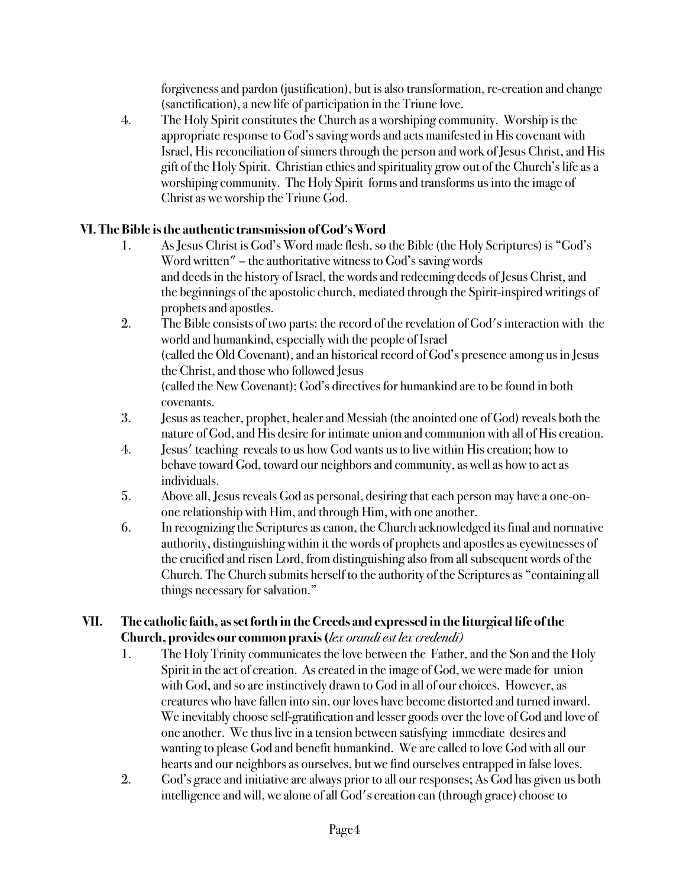! ! forgiveness and pardon (justification), but is also transformation, re-creation and change (sanctification), a new life of participation in the Triune love.

4. The Holy Spirit constitutes the Church as a worshiping community. Worship is the appropriate response to God's saving words and acts manifested in His covenant with Israel, His reconciliation of sinners through the person and work of Jesus Christ, and His gift of the Holy Spirit. Christian ethics and spirituality grow out of the Church's life as a worshiping community. The Holy Spirit forms and transforms us into the image of Christ as we worship the Triune God.

## **VI. The Bible is the authentic transmission of God's Word**

- 1. As Jesus Christ is God's Word made flesh, so the Bible (the Holy Scriptures) is "God's Word written" – the authoritative witness to God's saving words and deeds in the history of Israel, the words and redeeming deeds of Jesus Christ, and ! ! the beginnings of the apostolic church, mediated through the Spirit-inspired writings of prophets and apostles.
- 2. The Bible consists of two parts: the record of the revelation of God's interaction with the world and humankind, especially with the people of Israel (called the Old Covenant), and an historical record of God's presence among us in Jesus the Christ, and those who followed Jesus (called the New Covenant); God's directives for humankind are to be found in both covenants.
- 3. Jesus as teacher, prophet, healer and Messiah (the anointed one of God) reveals both the ! ! nature of God, and His desire for intimate union and communion with all of His creation.
- 4. Jesus' teaching reveals to us how God wants us to live within His creation; how to behave toward God, toward our neighbors and community, as well as how to act as individuals.
- 5. Above all, Jesus reveals God as personal, desiring that each person may have a one-on one relationship with Him, and through Him, with one another.
- 6. In recognizing the Scriptures as canon, the Church acknowledged its final and normative authority, distinguishing within it the words of prophets and apostles as eyewitnesses of ! ! the crucified and risen Lord, from distinguishing also from all subsequent words of the ! ! Church. The Church submits herself to the authority of the Scriptures as "containing all things necessary for salvation."

### **VII. The catholic faith, as set forth in the Creeds and expressed in the liturgical life of the Church, provides our common praxis (***lex orandi est lex credendi)*

- 1. The Holy Trinity communicates the love between the Father, and the Son and the Holy Spirit in the act of creation. As created in the image of God, we were made for union with God, and so are instinctively drawn to God in all of our choices. However, as ! ! creatures who have fallen into sin, our loves have become distorted and turned inward. We inevitably choose self-gratification and lesser goods over the love of God and love of one another. We thus live in a tension between satisfying immediate desires and wanting to please God and benefit humankind. We are called to love God with all our hearts and our neighbors as ourselves, but we find ourselves entrapped in false loves.
- 2. God's grace and initiative are always prior to all our responses; As God has given us both intelligence and will, we alone of all God's creation can (through grace) choose to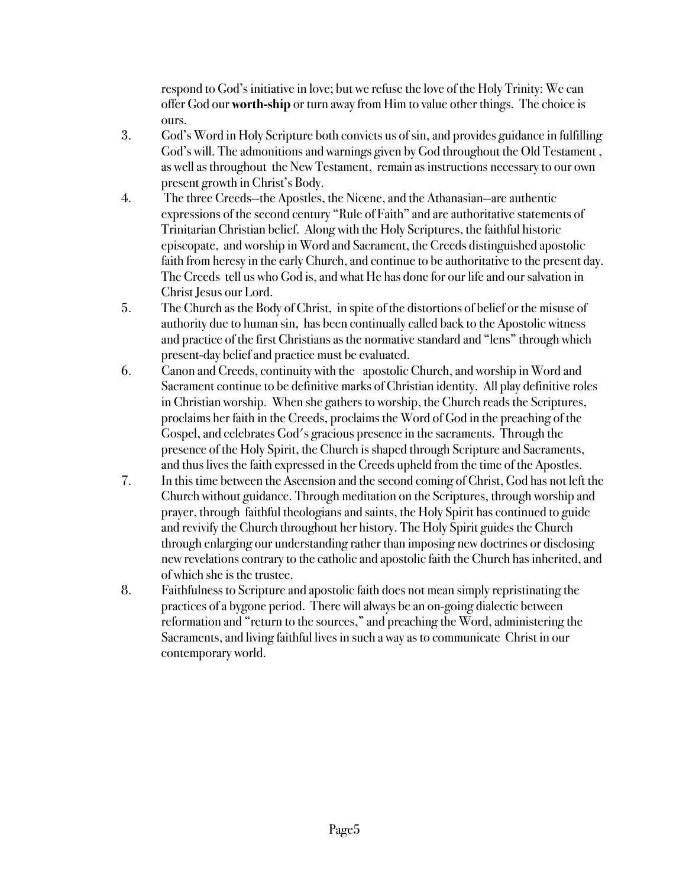! ! respond to God's initiative in love; but we refuse the love of the Holy Trinity: We can ! ! offer God our **worth-ship** or turn away from Him to value other things. The choice is ours.

- 3. God's Word in Holy Scripture both convicts us of sin, and provides guidance in fulfilling God's will. The admonitions and warnings given by God throughout the Old Testament, as well as throughout the New Testament, remain as instructions necessary to our own present growth in Christ's Body.
- 4. The three Creeds--the Apostles, the Nicene, and the Athanasian--are authentic expressions of the second century "Rule of Faith" and are authoritative statements of ! ! Trinitarian Christian belief. Along with the Holy Scriptures, the faithful historic ! ! episcopate, and worship in Word and Sacrament, the Creeds distinguished apostolic faith from heresy in the early Church, and continue to be authoritative to the present day. The Creeds tell us who God is, and what He has done for our life and our salvation in Christ Jesus our Lord.
- 5. The Church as the Body of Christ, in spite of the distortions of belief or the misuse of authority due to human sin, has been continually called back to the Apostolic witness and practice of the first Christians as the normative standard and "lens" through which present-day belief and practice must be evaluated.
- 6. Canon and Creeds, continuity with the apostolic Church, and worship in Word and Sacrament continue to be definitive marks of Christian identity. All play definitive roles in Christian worship. When she gathers to worship, the Church reads the Scriptures, ! ! proclaims her faith in the Creeds, proclaims the Word of God in the preaching of the Gospel, and celebrates God's gracious presence in the sacraments. Through the presence of the Holy Spirit, the Church is shaped through Scripture and Sacraments, ! ! and thus lives the faith expressed in the Creeds upheld from the time of the Apostles.
- 7. In this time between the Ascension and the second coming of Christ, God has not left the ! ! Church without guidance. Through meditation on the Scriptures, through worship and ! ! prayer, through faithful theologians and saints, the Holy Spirit has continued to guide and revivify the Church throughout her history. The Holy Spirit guides the Church ! ! through enlarging our understanding rather than imposing new doctrines or disclosing new revelations contrary to the catholic and apostolic faith the Church has inherited, and of which she is the trustee.
- 8. Faithfulness to Scripture and apostolic faith does not mean simply repristinating the ! ! practices of a bygone period. There will always be an on-going dialectic between reformation and "return to the sources," and preaching the Word, administering the Sacraments, and living faithful lives in such a way as to communicate Christ in our contemporary world.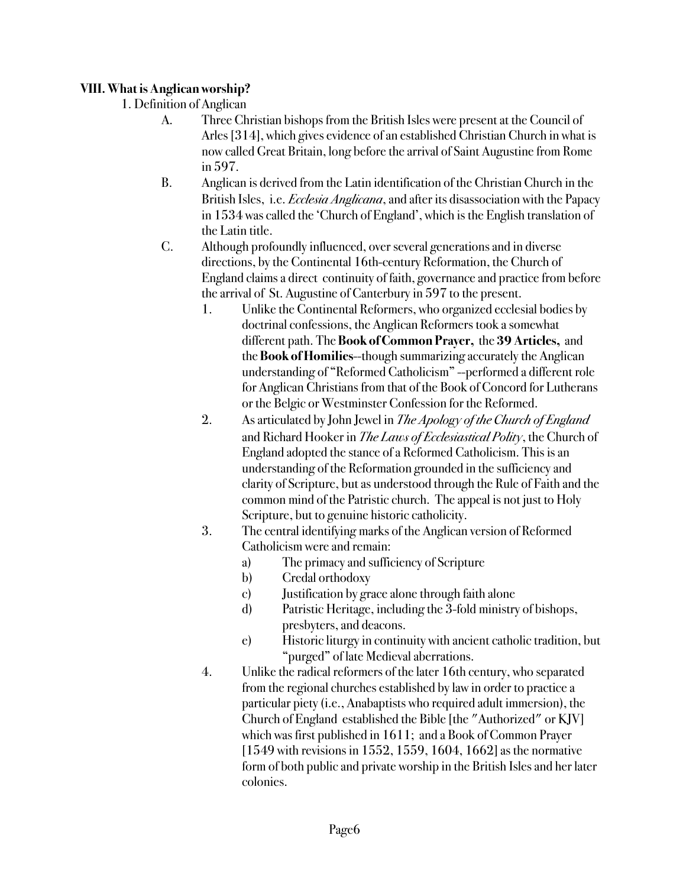### **VIII. What is Anglican worship?**

- 1. Definition of Anglican
	- A. Three Christian bishops from the British Isles were present at the Council of Arles [314], which gives evidence of an established Christian Church in what is now called Great Britain, long before the arrival of Saint Augustine from Rome in 597.
	- B. Anglican is derived from the Latin identification of the Christian Church in the !!! British Isles, i.e. *Ecclesia Anglicana*, and after its disassociation with the Papacy in 1534 was called the 'Church of England', which is the English translation of the Latin title.
	- C. Although profoundly influenced, over several generations and in diverse directions, by the Continental 16th-century Reformation, the Church of England claims a direct continuity of faith, governance and practice from before the arrival of St. Augustine of Canterbury in 597 to the present.
		- 1. Unlike the Continental Reformers, who organized ecclesial bodies by !!!! doctrinal confessions, the Anglican Reformers took a somewhat !!!! different path. The **Book of Common Prayer,** the **39 Articles,** and !!!! the **Book of Homilies**--though summarizing accurately the Anglican understanding of "Reformed Catholicism" --performed a different role for Anglican Christians from that of the Book of Concord for Lutherans or the Belgic or Westminster Confession for the Reformed.
		- 2. As articulated by John Jewel in *The Apology of the Church of England* and Richard Hooker in *The Laws of Ecclesiastical Polity*, the Church of England adopted the stance of a Reformed Catholicism. This is an understanding of the Reformation grounded in the sufficiency and clarity of Scripture, but as understood through the Rule of Faith and the common mind of the Patristic church. The appeal is not just to Holy Scripture, but to genuine historic catholicity.
		- 3. The central identifying marks of the Anglican version of Reformed Catholicism were and remain:
			- a) The primacy and sufficiency of Scripture
			- b) Credal orthodoxy
			- c) Justification by grace alone through faith alone
			- d) Patristic Heritage, including the 3-fold ministry of bishops, presbyters, and deacons.
			- e) Historic liturgy in continuity with ancient catholic tradition, but "purged" of late Medieval aberrations.
		- !!! 4. Unlike the radical reformers of the later 16th century, who separated from the regional churches established by law in order to practice a particular piety (i.e., Anabaptists who required adult immersion), the Church of England established the Bible [the "Authorized" or KJV] which was first published in 1611; and a Book of Common Prayer  $[1549$  with revisions in 1552, 1559, 1604, 1662] as the normative form of both public and private worship in the British Isles and her later colonies.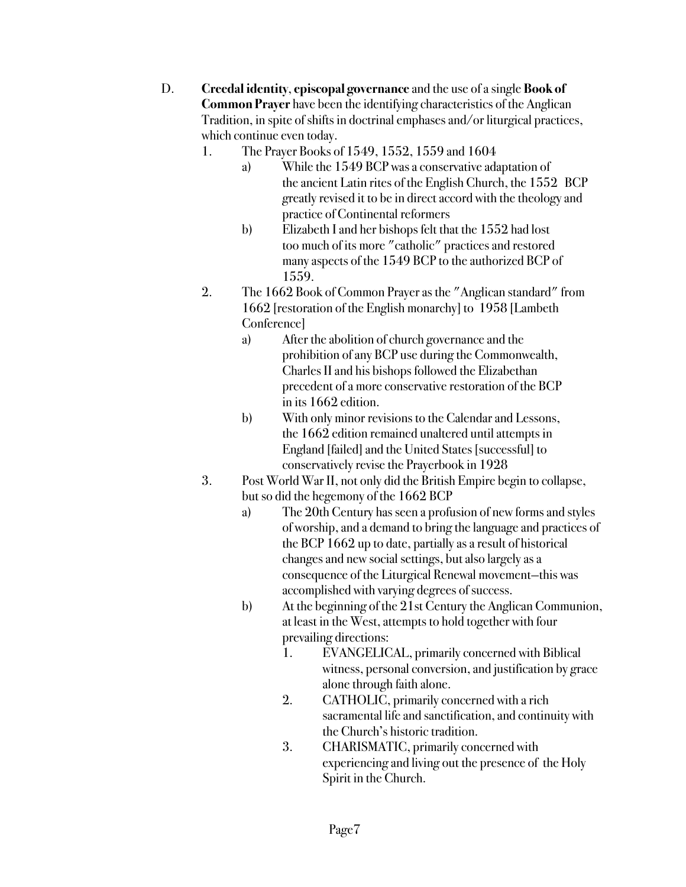- ! ! D. **Creedal identity**, **episcopal governance** and the use of a single **Book of Common Prayer** have been the identifying characteristics of the Anglican !!! Tradition, in spite of shifts in doctrinal emphases and/or liturgical practices, which continue even today.
	- 1. The Prayer Books of 1549, 1552, 1559 and 1604
		- a) While the 1549 BCP was a conservative adaptation of the ancient Latin rites of the English Church, the 1552 BCP greatly revised it to be in direct accord with the theology and practice of Continental reformers
		- b) Elizabeth I and her bishops felt that the 1552 had lost too much of its more "catholic" practices and restored many aspects of the 1549 BCP to the authorized BCP of 1559.
	- 2. The 1662 Book of Common Prayer as the "Anglican standard" from 1662 [restoration of the English monarchy] to 1958 [Lambeth Conference]
		- a) After the abolition of church governance and the prohibition of any BCP use during the Commonwealth, Charles II and his bishops followed the Elizabethan precedent of a more conservative restoration of the BCP in its 1662 edition.
		- b) With only minor revisions to the Calendar and Lessons, the 1662 edition remained unaltered until attempts in England [failed] and the United States [successful] to conservatively revise the Prayerbook in 1928
	- 3. Post World War II, not only did the British Empire begin to collapse, but so did the hegemony of the 1662 BCP
		- a) The 20th Century has seen a profusion of new forms and styles of worship, and a demand to bring the language and practices of the BCP 1662 up to date, partially as a result of historical changes and new social settings, but also largely as a consequence of the Liturgical Renewal movement—this was accomplished with varying degrees of success.
		- b) At the beginning of the 21st Century the Anglican Communion, at least in the West, attempts to hold together with four prevailing directions:
			- 1. EVANGELICAL, primarily concerned with Biblical witness, personal conversion, and justification by grace alone through faith alone.
			- 2. CATHOLIC, primarily concerned with a rich sacramental life and sanctification, and continuity with the Church's historic tradition.
			- 3. CHARISMATIC, primarily concerned with experiencing and living out the presence of the Holy Spirit in the Church.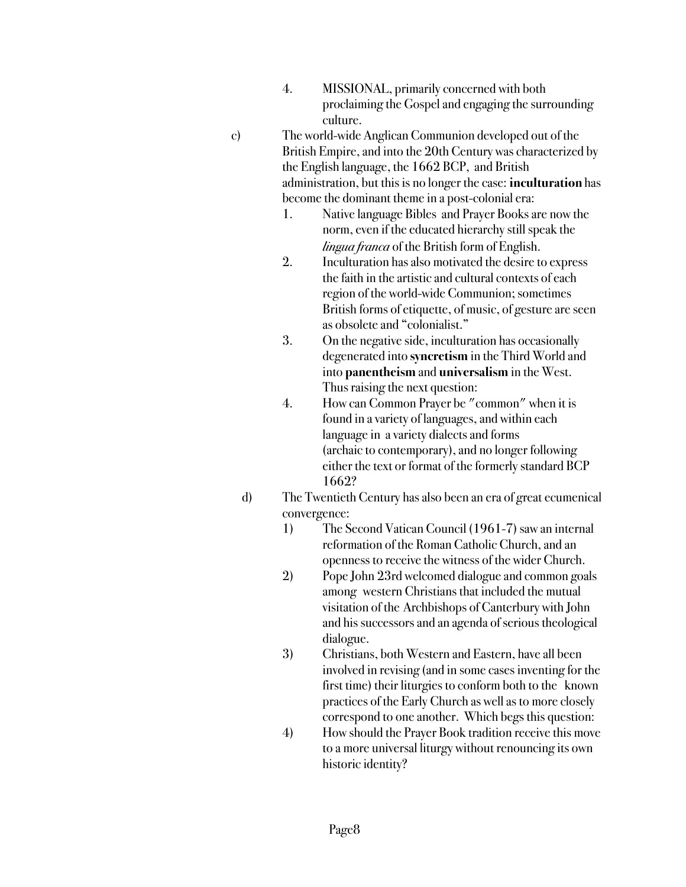- 4. MISSIONAL, primarily concerned with both proclaiming the Gospel and engaging the surrounding culture.
- c) The world-wide Anglican Communion developed out of the British Empire, and into the 20th Century was characterized by the English language, the 1662 BCP, and British administration, but this is no longer the case: **inculturation** has become the dominant theme in a post-colonial era:
	- 1. Native language Bibles and Prayer Books are now the norm, even if the educated hierarchy still speak the *lingua franca* of the British form of English.
	- 2. Inculturation has also motivated the desire to express the faith in the artistic and cultural contexts of each region of the world-wide Communion; sometimes British forms of etiquette, of music, of gesture are seen as obsolete and "colonialist."
	- 3. On the negative side, inculturation has occasionally degenerated into **syncretism** in the Third World and into **panentheism** and **universalism** in the West. Thus raising the next question:
	- 4. How can Common Prayer be "common" when it is found in a variety of languages, and within each language in a variety dialects and forms (archaic to contemporary), and no longer following either the text or format of the formerly standard BCP 1662?
	- !!!! d) The Twentieth Century has also been an era of great ecumenical convergence:
		- 1) The Second Vatican Council (1961-7) saw an internal reformation of the Roman Catholic Church, and an openness to receive the witness of the wider Church.
		- 2) Pope John 23rd welcomed dialogue and common goals among western Christians that included the mutual visitation of the Archbishops of Canterbury with John and his successors and an agenda of serious theological dialogue.
		- 3) Christians, both Western and Eastern, have all been involved in revising (and in some cases inventing for the first time) their liturgies to conform both to the known practices of the Early Church as well as to more closely correspond to one another. Which begs this question:
		- 4) How should the Prayer Book tradition receive this move to a more universal liturgy without renouncing its own historic identity?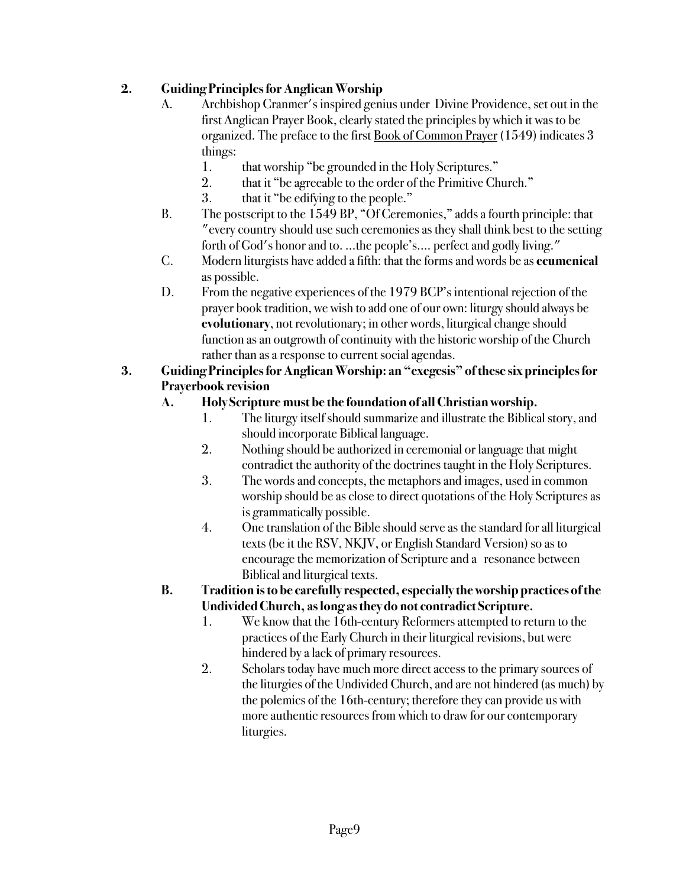# **2. Guiding Principles for Anglican Worship**

- A. Archbishop Cranmer's inspired genius under Divine Providence, set out in the !!! first Anglican Prayer Book, clearly stated the principles by which it was to be organized. The preface to the first Book of Common Prayer (1549) indicates 3 things:
	- 1. that worship "be grounded in the Holy Scriptures."
	- 2. that it "be agreeable to the order of the Primitive Church."
	- 3. that it "be edifying to the people."
- B. The postscript to the 1549 BP, "Of Ceremonies," adds a fourth principle: that !!! "every country should use such ceremonies as they shall think best to the setting forth of God's honor and to. ...the people's.... perfect and godly living."
- ! ! C. Modern liturgists have added a fifth: that the forms and words be as **ecumenical** as possible.
- D. From the negative experiences of the 1979 BCP's intentional rejection of the prayer book tradition, we wish to add one of our own: liturgy should always be **evolutionary**, not revolutionary; in other words, liturgical change should function as an outgrowth of continuity with the historic worship of the Church rather than as a response to current social agendas.

### **3. Guiding Principles for Anglican Worship: an "exegesis" of these six principles for ! ! Prayerbook revision**

# ! ! **A. Holy Scripture must be the foundation of all Christian worship.**

- 1. The liturgy itself should summarize and illustrate the Biblical story, and should incorporate Biblical language.
- 2. Nothing should be authorized in ceremonial or language that might contradict the authority of the doctrines taught in the Holy Scriptures.
- 3. The words and concepts, the metaphors and images, used in common !!!! worship should be as close to direct quotations of the Holy Scriptures as is grammatically possible.
- !!! 4. One translation of the Bible should serve as the standard for all liturgical texts (be it the RSV, NKJV, or English Standard Version) so as to encourage the memorization of Scripture and a resonance between Biblical and liturgical texts.
- **! ! B. Tradition is to be carefully respected, especially the worship practices of the !!! Undivided Church, as long as they do not contradict Scripture.**
	- 1. We know that the 16th-century Reformers attempted to return to the practices of the Early Church in their liturgical revisions, but were hindered by a lack of primary resources.
	- 2. Scholars today have much more direct access to the primary sources of the liturgies of the Undivided Church, and are not hindered (as much) by the polemics of the 16th-century; therefore they can provide us with more authentic resources from which to draw for our contemporary liturgies.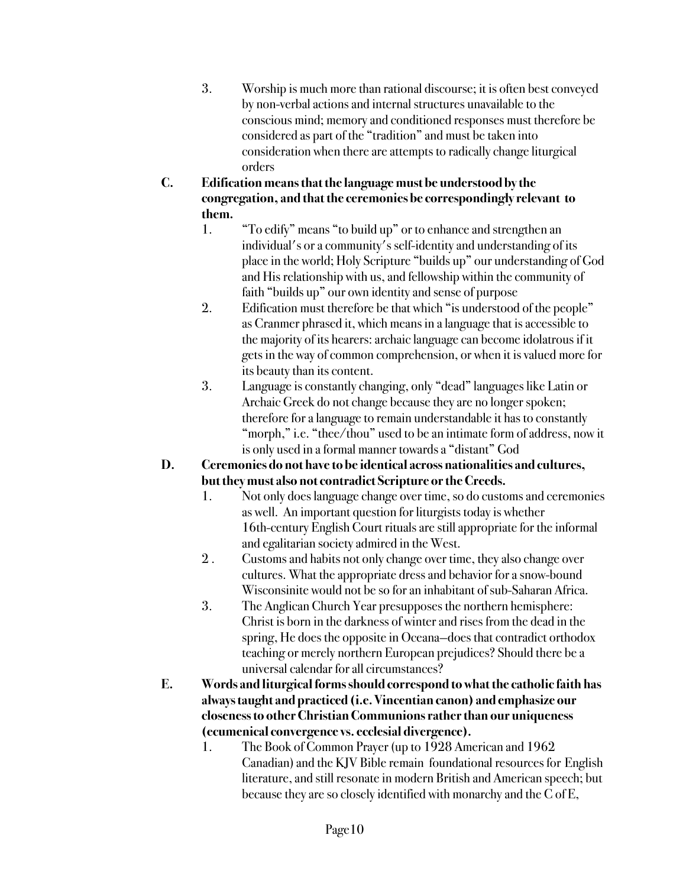- !!! 3. Worship is much more than rational discourse; it is often best conveyed by non-verbal actions and internal structures unavailable to the !!!! conscious mind; memory and conditioned responses must therefore be considered as part of the "tradition" and must be taken into !!!! consideration when there are attempts to radically change liturgical orders
- **! ! C. Edification means that the language must be understood by the !!! congregation, and that the ceremonies be correspondingly relevant to !!! them.**
	- !!! 1. "To edify" means "to build up" or to enhance and strengthen an individual's or a community's self-identity and understanding of its place in the world; Holy Scripture "builds up" our understanding of God and His relationship with us, and fellowship within the community of faith "builds up" our own identity and sense of purpose
	- 2. Edification must therefore be that which "is understood of the people" as Cranmer phrased it, which means in a language that is accessible to the majority of its hearers: archaic language can become idolatrous if it gets in the way of common comprehension, or when it is valued more for its beauty than its content.
	- !!! 3. Language is constantly changing, only "dead" languages like Latin or Archaic Greek do not change because they are no longer spoken; therefore for a language to remain understandable it has to constantly "morph," i.e. "thee/thou" used to be an intimate form of address, now it is only used in a formal manner towards a "distant" God
- **! ! D. Ceremonies do not have to be identical across nationalities and cultures, !!! but they must also not contradict Scripture or the Creeds.**
	- **! !** 1. Not only does language change over time, so do customs and ceremonies as well. An important question for liturgists today is whether !!!! 16th-century English Court rituals are still appropriate for the informal and egalitarian society admired in the West.
	- 2. Customs and habits not only change over time, they also change over cultures. What the appropriate dress and behavior for a snow-bound Wisconsinite would not be so for an inhabitant of sub-Saharan Africa.
	- 3. The Anglican Church Year presupposes the northern hemisphere: !!!! Christ is born in the darkness of winter and rises from the dead in the spring, He does the opposite in Oceana-does that contradict orthodox teaching or merely northern European prejudices? Should there be a universal calendar for all circumstances?
- **! ! E. Words and liturgical forms should correspond to what the catholic faith has !!! always taught and practiced (i.e. Vincentian canon) and emphasize our !!! closeness to other Christian Communions rather than our uniqueness !!! (ecumenical convergence vs. ecclesial divergence).**
	- 1. The Book of Common Prayer (up to 1928 American and 1962 Canadian) and the KJV Bible remain foundational resources for English literature, and still resonate in modern British and American speech; but because they are so closely identified with monarchy and the C of E,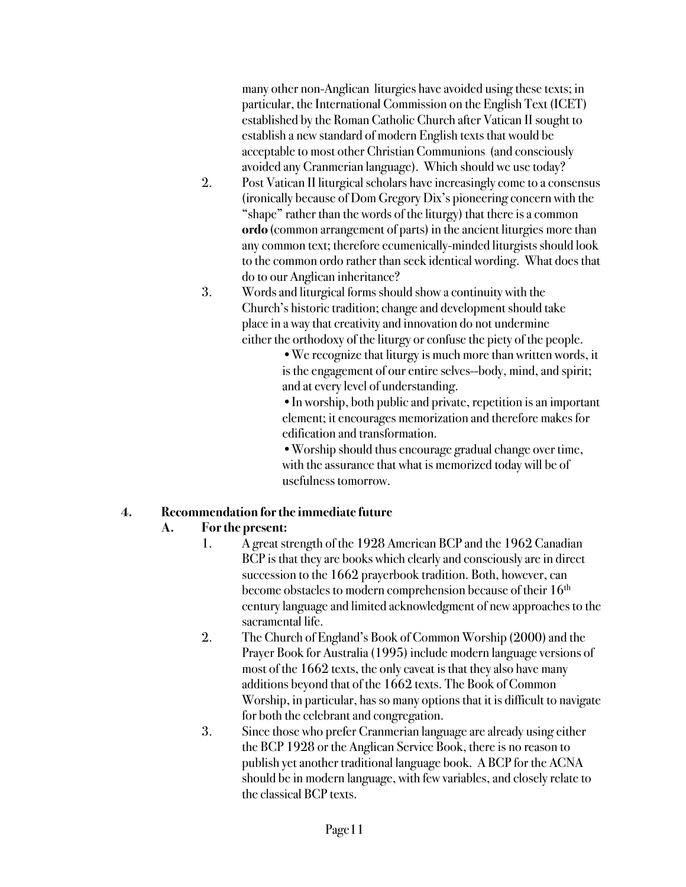many other non-Anglican liturgies have avoided using these texts; in particular, the International Commission on the English Text (ICET) established by the Roman Catholic Church after Vatican II sought to establish a new standard of modern English texts that would be acceptable to most other Christian Communions (and consciously avoided any Cranmerian language). Which should we use today?

- 2. Post Vatican II liturgical scholars have increasingly come to a consensus (ironically because of Dom Gregory Dix's pioneering concern with the "shape" rather than the words of the liturgy) that there is a common ordo (common arrangement of parts) in the ancient liturgies more than any common text; therefore ecumenically-minded liturgists should look to the common ordo rather than seek identical wording. What does that do to our Anglican inheritance?
- **!!!** 3. Words and liturgical forms should show a continuity with the Church's historic tradition; change and development should take place in a way that creativity and innovation do not undermine either the orthodoxy of the liturgy or confuse the piety of the people.

•We recognize that liturgy is much more than written words, it is the engagement of our entire selves--body, mind, and spirit; and at every level of understanding.

•In worship, both public and private, repetition is an important element; it encourages memorization and therefore makes for edification and transformation.

•Worship should thus encourage gradual change over time, with the assurance that what is memorized today will be of usefulness tomorrow.

#### **4. Recommendation for the immediate future**

#### **! ! A. For the present:**

- 1. A great strength of the 1928 American BCP and the 1962 Canadian BCP is that they are books which clearly and consciously are in direct succession to the 1662 prayerbook tradition. Both, however, can become obstacles to modern comprehension because of their  $16<sup>th</sup>$ !!!! century language and limited acknowledgment of new approaches to the sacramental life.
- 2. The Church of England's Book of Common Worship (2000) and the Prayer Book for Australia (1995) include modern language versions of most of the 1662 texts, the only caveat is that they also have many additions beyond that of the 1662 texts. The Book of Common Worship, in particular, has so many options that it is difficult to navigate for both the celebrant and congregation.
- 3. Since those who prefer Cranmerian language are already using either the BCP 1928 or the Anglican Service Book, there is no reason to publish yet another traditional language book. A BCP for the ACNA should be in modern language, with few variables, and closely relate to the classical BCP texts.